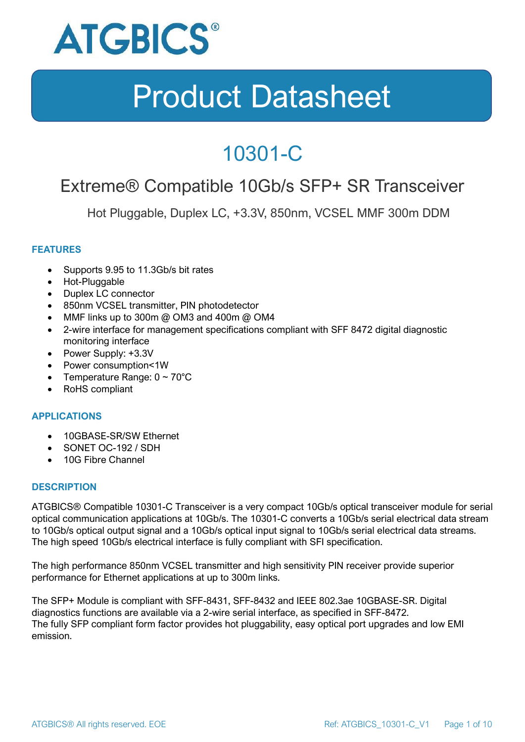

### 10301-C

### Extreme® Compatible 10Gb/s SFP+ SR Transceiver

Hot Pluggable, Duplex LC, +3.3V, 850nm, VCSEL MMF 300m DDM

### **FEATURES**

- Supports 9.95 to 11.3Gb/s bit rates
- Hot-Pluggable
- Duplex LC connector
- 850nm VCSEL transmitter, PIN photodetector
- MMF links up to 300m @ OM3 and 400m @ OM4
- 2-wire interface for management specifications compliant with SFF 8472 digital diagnostic monitoring interface
- Power Supply: +3.3V
- Power consumption<1W
- Temperature Range:  $0 \sim 70^{\circ}$ C
- RoHS compliant

#### **APPLICATIONS**

- 10GBASE-SR/SW Ethernet
- SONET OC-192 / SDH
- 10G Fibre Channel

#### **DESCRIPTION**

ATGBICS® Compatible 10301-C Transceiver is a very compact 10Gb/s optical transceiver module for serial optical communication applications at 10Gb/s. The 10301-C converts a 10Gb/s serial electrical data stream to 10Gb/s optical output signal and a 10Gb/s optical input signal to 10Gb/s serial electrical data streams. The high speed 10Gb/s electrical interface is fully compliant with SFI specification.

The high performance 850nm VCSEL transmitter and high sensitivity PIN receiver provide superior performance for Ethernet applications at up to 300m links.

The SFP+ Module is compliant with SFF-8431, SFF-8432 and IEEE 802.3ae 10GBASE-SR. Digital diagnostics functions are available via a 2-wire serial interface, as specified in SFF-8472. The fully SFP compliant form factor provides hot pluggability, easy optical port upgrades and low EMI emission.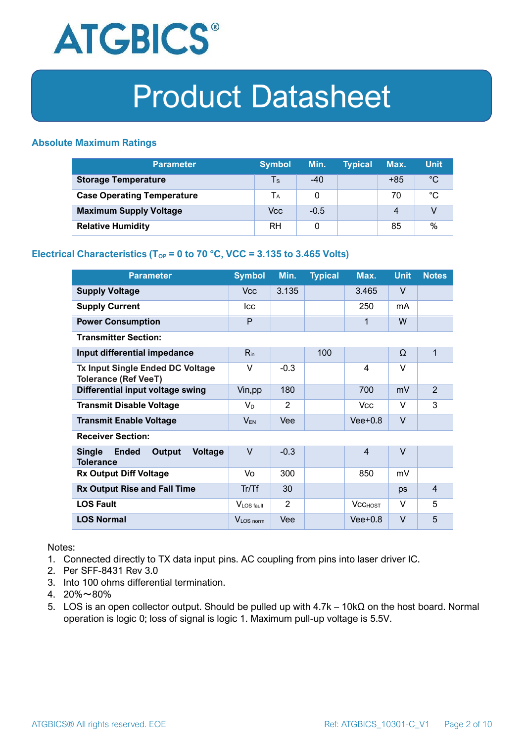

### **Absolute Maximum Ratings**

| <b>Parameter</b>                  | <b>Symbol</b> | Min.   | <b>Typical</b> | Max.  | <b>Unit</b> |
|-----------------------------------|---------------|--------|----------------|-------|-------------|
| <b>Storage Temperature</b>        | Ts            | $-40$  |                | $+85$ | $^{\circ}C$ |
| <b>Case Operating Temperature</b> | Tа            |        |                | 70    | °C          |
| <b>Maximum Supply Voltage</b>     | Vcc           | $-0.5$ |                | 4     |             |
| <b>Relative Humidity</b>          | RH            |        |                | 85    | %           |

### **Electrical Characteristics (T<sub>OP</sub> = 0 to 70 °C, VCC = 3.135 to 3.465 Volts)**

| <b>Parameter</b>                                                              | <b>Symbol</b>         | Min.   | <b>Typical</b> | Max.           | <b>Unit</b> | <b>Notes</b>   |
|-------------------------------------------------------------------------------|-----------------------|--------|----------------|----------------|-------------|----------------|
| <b>Supply Voltage</b>                                                         | V <sub>cc</sub>       | 3.135  |                | 3.465          | $\vee$      |                |
| <b>Supply Current</b>                                                         | <b>Icc</b>            |        |                | 250            | mA          |                |
| <b>Power Consumption</b>                                                      | P                     |        |                | 1              | W           |                |
| <b>Transmitter Section:</b>                                                   |                       |        |                |                |             |                |
| Input differential impedance                                                  | $R_{in}$              |        | 100            |                | Ω           | 1              |
| <b>Tx Input Single Ended DC Voltage</b><br><b>Tolerance (Ref VeeT)</b>        | $\vee$                | $-0.3$ |                | $\overline{4}$ | $\vee$      |                |
| Differential input voltage swing                                              | Vin, pp               | 180    |                | 700            | mV          | $\overline{2}$ |
| <b>Transmit Disable Voltage</b>                                               | $V_D$                 | 2      |                | <b>Vcc</b>     | $\vee$      | 3              |
| <b>Transmit Enable Voltage</b>                                                | $V_{EN}$              | Vee    |                | $Vee+0.8$      | $\vee$      |                |
| <b>Receiver Section:</b>                                                      |                       |        |                |                |             |                |
| <b>Single</b><br><b>Ended</b><br>Output<br><b>Voltage</b><br><b>Tolerance</b> | $\vee$                | $-0.3$ |                | $\overline{4}$ | $\vee$      |                |
| <b>Rx Output Diff Voltage</b>                                                 | Vo                    | 300    |                | 850            | mV          |                |
| <b>Rx Output Rise and Fall Time</b>                                           | Tr/Tf                 | 30     |                |                | ps          | $\overline{4}$ |
| <b>LOS Fault</b>                                                              | VLOS fault            | 2      |                | <b>VCCHOST</b> | V           | 5              |
| <b>LOS Normal</b>                                                             | V <sub>LOS</sub> norm | Vee    |                | $Vee+0.8$      | $\vee$      | 5              |

Notes:

- 1. Connected directly to TX data input pins. AC coupling from pins into laser driver IC.
- 2. Per SFF-8431 Rev 3.0
- 3. Into 100 ohms differential termination.
- 4. 20%~80%
- 5. LOS is an open collector output. Should be pulled up with 4.7k 10kΩ on the host board. Normal operation is logic 0; loss of signal is logic 1. Maximum pull-up voltage is 5.5V.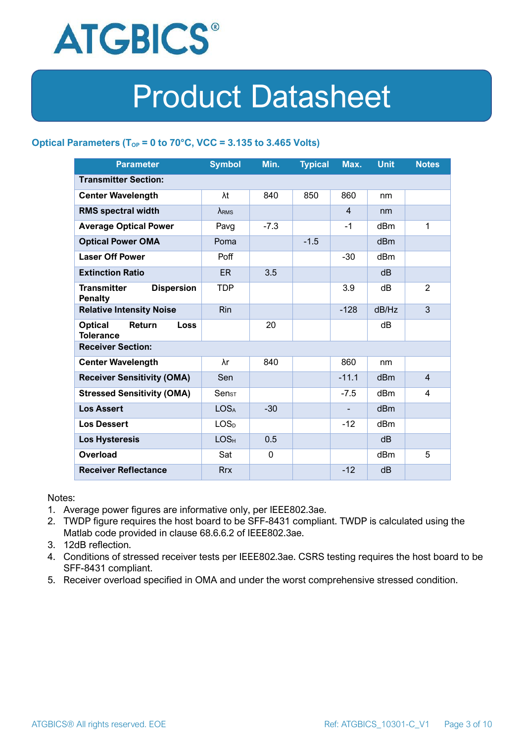

### **Optical Parameters** ( $T_{OP} = 0$  to 70°C, VCC = 3.135 to 3.465 Volts)

| <b>Parameter</b>                                            | <b>Symbol</b>                | Min.        | <b>Typical</b> | Max.           | <b>Unit</b>     | <b>Notes</b>   |  |
|-------------------------------------------------------------|------------------------------|-------------|----------------|----------------|-----------------|----------------|--|
| <b>Transmitter Section:</b>                                 |                              |             |                |                |                 |                |  |
| <b>Center Wavelength</b>                                    | λt                           | 840         | 850            | 860            | nm              |                |  |
| <b>RMS spectral width</b>                                   | $\lambda_{RMS}$              |             |                | $\overline{4}$ | nm              |                |  |
| <b>Average Optical Power</b>                                | Pavg                         | $-7.3$      |                | $-1$           | dBm             | 1              |  |
| <b>Optical Power OMA</b>                                    | Poma                         |             | $-1.5$         |                | dBm             |                |  |
| <b>Laser Off Power</b>                                      | Poff                         |             |                | $-30$          | dBm             |                |  |
| <b>Extinction Ratio</b>                                     | ER.                          | 3.5         |                |                | dB              |                |  |
| <b>Dispersion</b><br><b>Transmitter</b><br><b>Penalty</b>   | <b>TDP</b>                   |             |                | 3.9            | dB              | $\overline{2}$ |  |
| <b>Relative Intensity Noise</b>                             | <b>Rin</b>                   |             |                | $-128$         | dB/Hz           | 3              |  |
| <b>Optical</b><br>Return<br><b>Loss</b><br><b>Tolerance</b> |                              | 20          |                |                | dB              |                |  |
| <b>Receiver Section:</b>                                    |                              |             |                |                |                 |                |  |
| <b>Center Wavelength</b>                                    | λr                           | 840         |                | 860            | nm              |                |  |
| <b>Receiver Sensitivity (OMA)</b>                           | Sen                          |             |                | $-11.1$        | dB <sub>m</sub> | $\overline{4}$ |  |
| <b>Stressed Sensitivity (OMA)</b>                           | $\mathsf{Sen}_{\mathsf{ST}}$ |             |                | $-7.5$         | dB <sub>m</sub> | 4              |  |
| <b>Los Assert</b>                                           | <b>LOSA</b>                  | $-30$       |                |                | d <sub>Bm</sub> |                |  |
| <b>Los Dessert</b>                                          | LOS <sub>D</sub>             |             |                | $-12$          | dBm             |                |  |
| <b>Los Hysteresis</b>                                       | LOS <sub>H</sub>             | 0.5         |                |                | dB              |                |  |
| Overload                                                    | Sat                          | $\mathbf 0$ |                |                | dBm             | 5              |  |
| <b>Receiver Reflectance</b>                                 | <b>Rrx</b>                   |             |                | $-12$          | dB              |                |  |

Notes:

- 1. Average power figures are informative only, per IEEE802.3ae.
- 2. TWDP figure requires the host board to be SFF-8431 compliant. TWDP is calculated using the Matlab code provided in clause 68.6.6.2 of IEEE802.3ae.
- 3. 12dB reflection.
- 4. Conditions of stressed receiver tests per IEEE802.3ae. CSRS testing requires the host board to be SFF-8431 compliant.
- 5. Receiver overload specified in OMA and under the worst comprehensive stressed condition.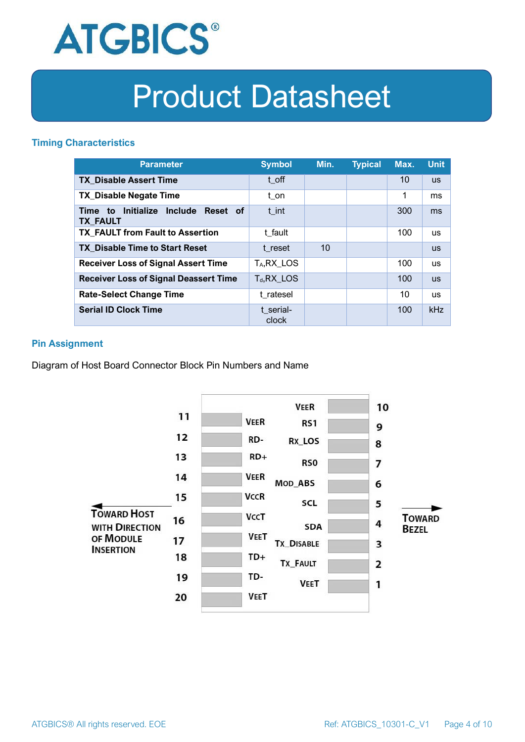

### **Timing Characteristics**

| <b>Parameter</b>                                             | <b>Symbol</b>           | Min. | <b>Typical</b> | Max. | <b>Unit</b> |
|--------------------------------------------------------------|-------------------------|------|----------------|------|-------------|
| <b>TX Disable Assert Time</b>                                | t off                   |      |                | 10   | <b>US</b>   |
| <b>TX_Disable Negate Time</b>                                | t_on                    |      |                | 1    | ms          |
| Initialize Include<br>Reset of<br>Time to<br><b>TX FAULT</b> | t int                   |      |                | 300  | ms          |
| <b>TX FAULT from Fault to Assertion</b>                      | t fault                 |      |                | 100  | <b>us</b>   |
| <b>TX Disable Time to Start Reset</b>                        | t reset                 | 10   |                |      | <b>us</b>   |
| <b>Receiver Loss of Signal Assert Time</b>                   | T <sub>A</sub> , RX_LOS |      |                | 100  | <b>us</b>   |
| <b>Receiver Loss of Signal Deassert Time</b>                 | $T_d, RX$ LOS           |      |                | 100  | <b>US</b>   |
| <b>Rate-Select Change Time</b>                               | t ratesel               |      |                | 10   | <b>us</b>   |
| <b>Serial ID Clock Time</b>                                  | t serial-<br>clock      |      |                | 100  | <b>kHz</b>  |

### **Pin Assignment**

Diagram of Host Board Connector Block Pin Numbers and Name

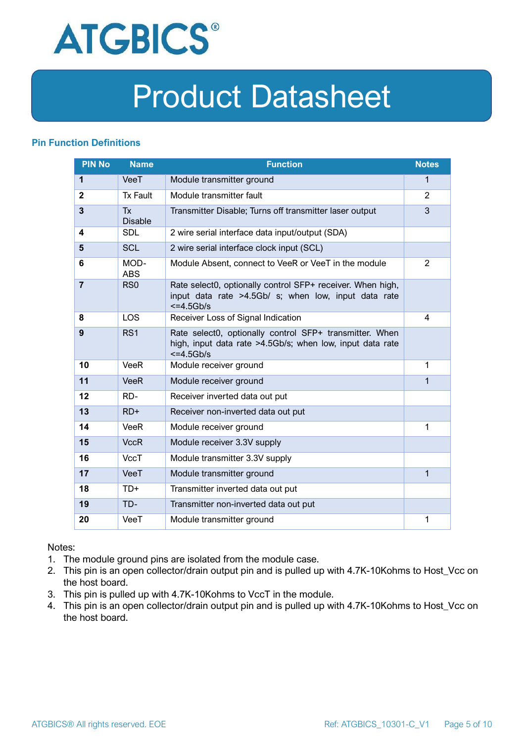

### **Pin Function Definitions**

| <b>PIN No</b>  | <b>Name</b>                 | <b>Function</b>                                                                                                                       | <b>Notes</b>   |
|----------------|-----------------------------|---------------------------------------------------------------------------------------------------------------------------------------|----------------|
| $\mathbf{1}$   | VeeT                        | Module transmitter ground                                                                                                             | $\mathbf 1$    |
| $\mathbf{2}$   | <b>Tx Fault</b>             | Module transmitter fault                                                                                                              | 2              |
| $\overline{3}$ | <b>Tx</b><br><b>Disable</b> | Transmitter Disable; Turns off transmitter laser output                                                                               | 3              |
| 4              | <b>SDL</b>                  | 2 wire serial interface data input/output (SDA)                                                                                       |                |
| 5              | <b>SCL</b>                  | 2 wire serial interface clock input (SCL)                                                                                             |                |
| 6              | MOD-<br><b>ABS</b>          | Module Absent, connect to VeeR or VeeT in the module                                                                                  | $\overline{2}$ |
| $\overline{7}$ | R <sub>S0</sub>             | Rate select0, optionally control SFP+ receiver. When high,<br>input data rate >4.5Gb/ s; when low, input data rate<br>$\leq$ =4.5Gb/s |                |
| 8              | <b>LOS</b>                  | Receiver Loss of Signal Indication                                                                                                    | 4              |
| 9              | RS <sub>1</sub>             | Rate select0, optionally control SFP+ transmitter. When<br>high, input data rate >4.5Gb/s; when low, input data rate<br>$<=4.5Gb/s$   |                |
| 10             | <b>VeeR</b>                 | Module receiver ground                                                                                                                | 1              |
| 11             | <b>VeeR</b>                 | Module receiver ground                                                                                                                | 1              |
| 12             | RD-                         | Receiver inverted data out put                                                                                                        |                |
| 13             | $RD+$                       | Receiver non-inverted data out put                                                                                                    |                |
| 14             | VeeR                        | Module receiver ground                                                                                                                | 1              |
| 15             | <b>VccR</b>                 | Module receiver 3.3V supply                                                                                                           |                |
| 16             | <b>VccT</b>                 | Module transmitter 3.3V supply                                                                                                        |                |
| 17             | VeeT                        | Module transmitter ground                                                                                                             | $\mathbf{1}$   |
| 18             | $TD+$                       | Transmitter inverted data out put                                                                                                     |                |
| 19             | TD-                         | Transmitter non-inverted data out put                                                                                                 |                |
| 20             | VeeT                        | Module transmitter ground                                                                                                             | 1              |

Notes:

- 1. The module ground pins are isolated from the module case.
- 2. This pin is an open collector/drain output pin and is pulled up with 4.7K-10Kohms to Host\_Vcc on the host board.
- 3. This pin is pulled up with 4.7K-10Kohms to VccT in the module.
- 4. This pin is an open collector/drain output pin and is pulled up with 4.7K-10Kohms to Host Vcc on the host board.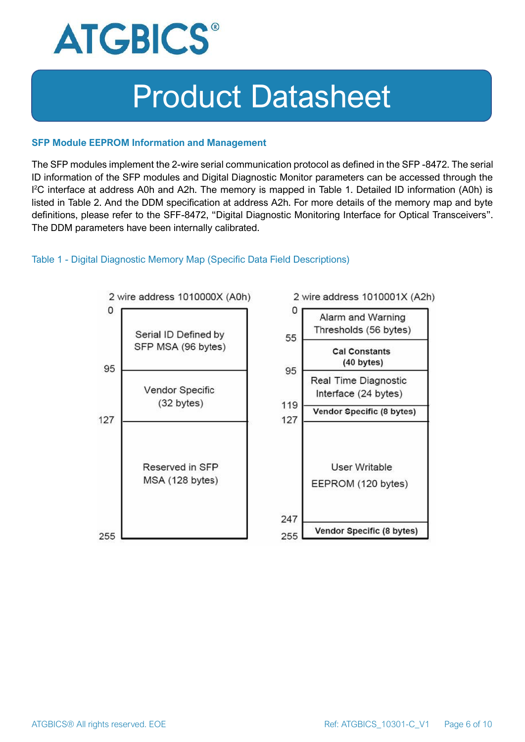

#### **SFP Module EEPROM Information and Management**

The SFP modules implement the 2-wire serial communication protocol as defined in the SFP -8472. The serial ID information of the SFP modules and Digital Diagnostic Monitor parameters can be accessed through the I <sup>2</sup>C interface at address A0h and A2h. The memory is mapped in Table 1. Detailed ID information (A0h) is listed in Table 2. And the DDM specification at address A2h. For more details of the memory map and byte definitions, please refer to the SFF-8472, "Digital Diagnostic Monitoring Interface for Optical Transceivers". The DDM parameters have been internally calibrated.

#### Table 1 - Digital Diagnostic Memory Map (Specific Data Field Descriptions)

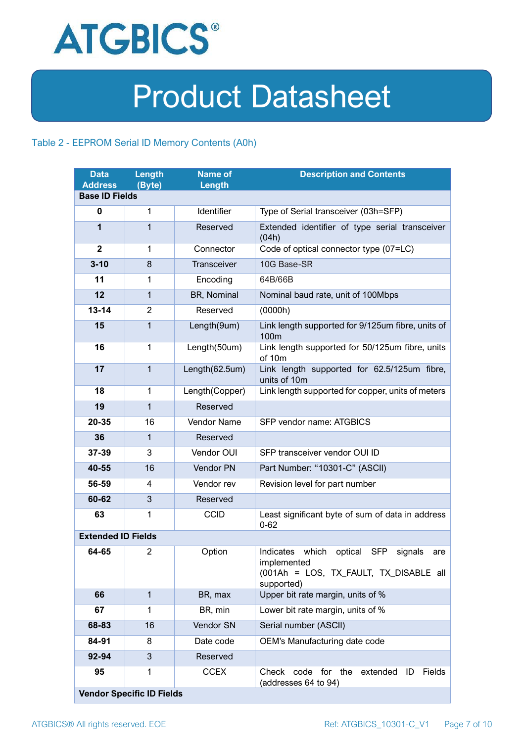

### Table 2 - EEPROM Serial ID Memory Contents (A0h)

| <b>Data</b><br><b>Address</b> | Length<br>(Byte)                 | <b>Name of</b><br>Length | <b>Description and Contents</b>                                                                                                   |
|-------------------------------|----------------------------------|--------------------------|-----------------------------------------------------------------------------------------------------------------------------------|
| <b>Base ID Fields</b>         |                                  |                          |                                                                                                                                   |
| $\mathbf 0$                   | 1                                | Identifier               | Type of Serial transceiver (03h=SFP)                                                                                              |
| 1                             | $\mathbf{1}$                     | Reserved                 | Extended identifier of type serial transceiver<br>(04h)                                                                           |
| $\mathbf{2}$                  | 1                                | Connector                | Code of optical connector type (07=LC)                                                                                            |
| $3 - 10$                      | 8                                | Transceiver              | 10G Base-SR                                                                                                                       |
| 11                            | 1                                | Encoding                 | 64B/66B                                                                                                                           |
| 12                            | $\mathbf{1}$                     | BR, Nominal              | Nominal baud rate, unit of 100Mbps                                                                                                |
| $13 - 14$                     | $\overline{2}$                   | Reserved                 | (0000h)                                                                                                                           |
| 15                            | $\mathbf{1}$                     | Length(9um)              | Link length supported for 9/125um fibre, units of<br>100 <sub>m</sub>                                                             |
| 16                            | $\mathbf{1}$                     | Length(50um)             | Link length supported for 50/125um fibre, units<br>of 10m                                                                         |
| 17                            | $\mathbf{1}$                     | Length(62.5um)           | Link length supported for 62.5/125um fibre,<br>units of 10m                                                                       |
| 18                            | $\mathbf{1}$                     | Length(Copper)           | Link length supported for copper, units of meters                                                                                 |
| 19                            | $\mathbf{1}$                     | Reserved                 |                                                                                                                                   |
| 20-35                         | 16                               | Vendor Name              | SFP vendor name: ATGBICS                                                                                                          |
| 36                            | $\mathbf{1}$                     | Reserved                 |                                                                                                                                   |
| 37-39                         | 3                                | Vendor OUI               | SFP transceiver vendor OUI ID                                                                                                     |
| 40-55                         | 16                               | Vendor PN                | Part Number: "10301-C" (ASCII)                                                                                                    |
| 56-59                         | 4                                | Vendor rev               | Revision level for part number                                                                                                    |
| 60-62                         | 3                                | Reserved                 |                                                                                                                                   |
| 63                            | 1                                | <b>CCID</b>              | Least significant byte of sum of data in address<br>$0 - 62$                                                                      |
| <b>Extended ID Fields</b>     |                                  |                          |                                                                                                                                   |
| 64-65                         | $\overline{2}$                   | Option                   | Indicates which<br>optical<br><b>SFP</b><br>signals<br>are<br>implemented<br>(001Ah = LOS, TX_FAULT, TX_DISABLE all<br>supported) |
| 66                            | $\mathbf{1}$                     | BR, max                  | Upper bit rate margin, units of %                                                                                                 |
| 67                            | 1                                | BR, min                  | Lower bit rate margin, units of %                                                                                                 |
| 68-83                         | 16                               | Vendor SN                | Serial number (ASCII)                                                                                                             |
| 84-91                         | 8                                | Date code                | OEM's Manufacturing date code                                                                                                     |
| 92-94                         | 3                                | Reserved                 |                                                                                                                                   |
| 95                            | 1                                | <b>CCEX</b>              | code for the<br>Fields<br>Check<br>extended<br>ID<br>(addresses 64 to 94)                                                         |
|                               | <b>Vendor Specific ID Fields</b> |                          |                                                                                                                                   |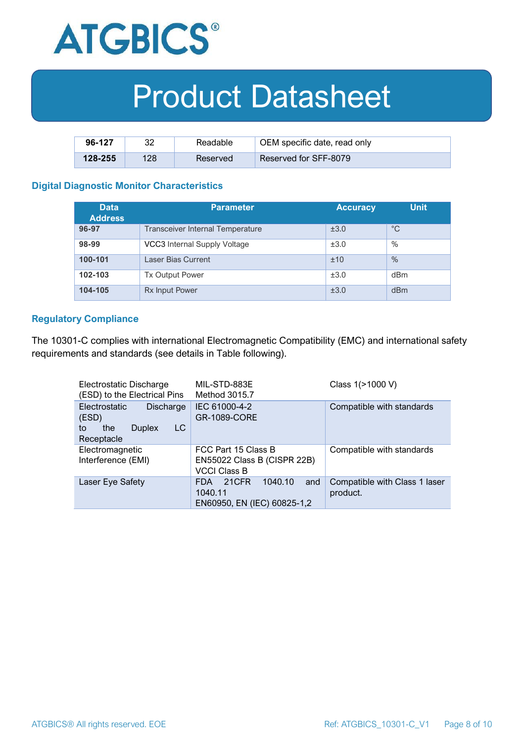

| 96-127  | ററ  | Readable | OEM specific date, read only |
|---------|-----|----------|------------------------------|
| 128-255 | 128 | Reserved | <b>Reserved for SFF-8079</b> |

#### **Digital Diagnostic Monitor Characteristics**

| <b>Data</b><br><b>Address</b> | <b>Parameter</b>                        | <b>Accuracy</b> | <b>Unit</b> |
|-------------------------------|-----------------------------------------|-----------------|-------------|
| 96-97                         | <b>Transceiver Internal Temperature</b> | ±3.0            | $^{\circ}C$ |
| 98-99                         | VCC3 Internal Supply Voltage            | ±3.0            | %           |
| 100-101                       | Laser Bias Current                      | ±10             | $\%$        |
| 102-103                       | <b>Tx Output Power</b>                  | ±3.0            | dBm         |
| 104-105                       | <b>Rx Input Power</b>                   | ±3.0            | dBm         |

#### **Regulatory Compliance**

The 10301-C complies with international Electromagnetic Compatibility (EMC) and international safety requirements and standards (see details in Table following).

| Electrostatic Discharge<br>(ESD) to the Electrical Pins                               | MIL-STD-883E<br>Method 3015.7                                             | Class 1(>1000 V)                          |
|---------------------------------------------------------------------------------------|---------------------------------------------------------------------------|-------------------------------------------|
| Electrostatic<br>Discharge<br>(ESD)<br>LC<br>the<br><b>Duplex</b><br>to<br>Receptacle | IEC 61000-4-2<br><b>GR-1089-CORE</b>                                      | Compatible with standards                 |
| Electromagnetic<br>Interference (EMI)                                                 | FCC Part 15 Class B<br>EN55022 Class B (CISPR 22B)<br><b>VCCI Class B</b> | Compatible with standards                 |
| Laser Eye Safety                                                                      | 1040.10<br>21CFR<br>and<br>FDA.<br>1040.11<br>EN60950, EN (IEC) 60825-1,2 | Compatible with Class 1 laser<br>product. |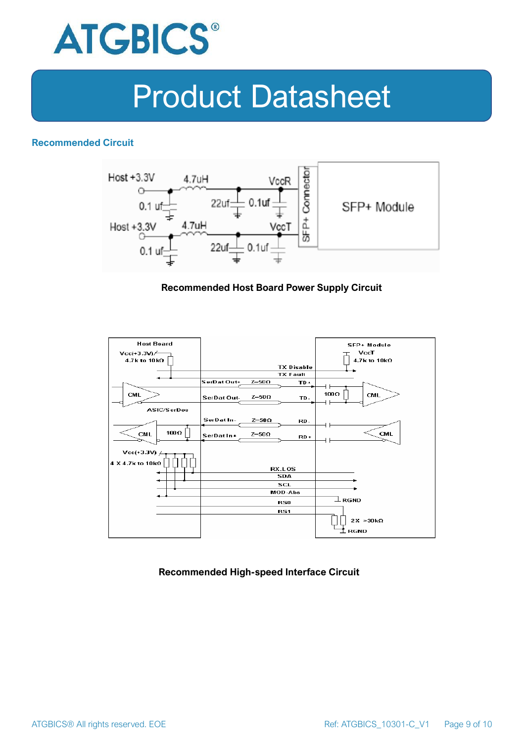

### **Recommended Circuit**



#### **Recommended Host Board Power Supply Circuit**



#### **Recommended High-speed Interface Circuit**